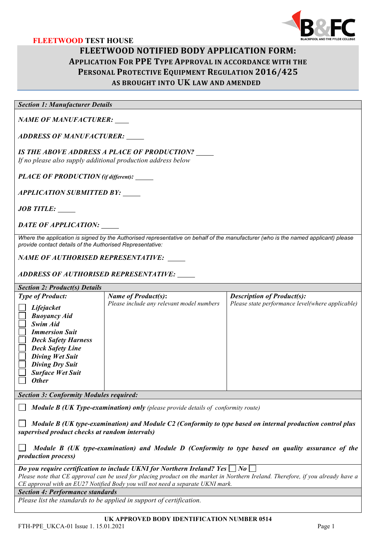

# **FLEETWOOD TEST HOUSE FLEETWOOD NOTIFIED BODY APPLICATION FORM: APPLICATION FOR PPE TYPE APPROVAL IN ACCORDANCE WITH THE PERSONAL PROTECTIVE EQUIPMENT REGULATION 2016/425 AS BROUGHT INTO UK LAW AND AMENDED**

*Section 1: Manufacturer Details*

*NAME OF MANUFACTURER:*

*ADDRESS OF MANUFACTURER:*

*IS THE ABOVE ADDRESS A PLACE OF PRODUCTION?*

*If no please also supply additional production address below*

*PLACE OF PRODUCTION (if different):* 

*APPLICATION SUBMITTED BY:*

*JOB TITLE:*

*DATE OF APPLICATION:*

*Where the application is signed by the Authorised representative on behalf of the manufacturer (who is the named applicant) please provide contact details of the Authorised Representative:* 

*NAME OF AUTHORISED REPRESENTATIVE:* 

*ADDRESS OF AUTHORISED REPRESENTATIVE:*

## *Section 2: Product(s) Details*

| <b>Type of Product:</b>                                                                                                                                                                                                 | <b>Name of Product(s):</b>                | <b>Description of Product(s):</b>                |
|-------------------------------------------------------------------------------------------------------------------------------------------------------------------------------------------------------------------------|-------------------------------------------|--------------------------------------------------|
| Lifejacket<br><b>Buoyancy Aid</b><br>Swim Aid<br><b>Immersion Suit</b><br><b>Deck Safety Harness</b><br><b>Deck Safety Line</b><br>Diving Wet Suit<br><b>Diving Dry Suit</b><br><b>Surface Wet Suit</b><br><b>Other</b> | Please include any relevant model numbers | Please state performance level(where applicable) |
|                                                                                                                                                                                                                         |                                           |                                                  |

*Section 3: Conformity Modules required:* 

 *Module B (UK Type-examination) only (please provide details of conformity route)*

 *Module B (UK type-examination) and Module C2 (Conformity to type based on internal production control plus supervised product checks at random intervals)* 

 *Module B (UK type-examination) and Module D (Conformity to type based on quality assurance of the production process)*

*Do you require certification to include UKNI for Northern Ireland? Yes*  $\Box$  No  $\Box$ 

*Please note that CE approval can be used for placing product on the market in Northern Ireland. Therefore, if you already have a CE approval with an EU27 Notified Body you will not need a separate UKNI mark.*

*Section 4: Performance standards*

*Please list the standards to be applied in support of certification.* 

FTH-PPE UKCA-01 Issue 1. 15.01.2021 Page 1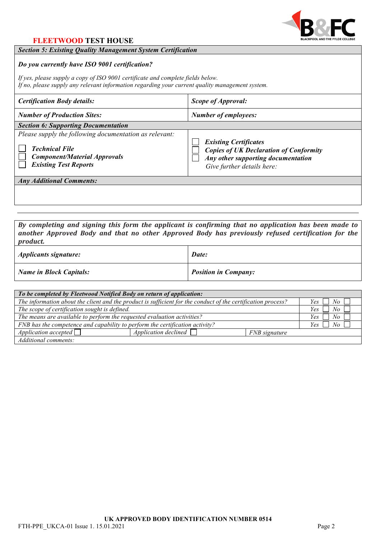

# **FLEETWOOD TEST HOUSE**

#### *Section 5: Existing Quality Management System Certification*

## *Do you currently have ISO 9001 certification?*

*If yes, please supply a copy of ISO 9001 certificate and complete fields below. If no, please supply any relevant information regarding your current quality management system.*

| <b>Certification Body details:</b>                                                                                                                     | Scope of Approval:                                                                                                                                |  |  |  |
|--------------------------------------------------------------------------------------------------------------------------------------------------------|---------------------------------------------------------------------------------------------------------------------------------------------------|--|--|--|
| <b>Number of Production Sites:</b>                                                                                                                     | <b>Number of employees:</b>                                                                                                                       |  |  |  |
| <b>Section 6: Supporting Documentation</b>                                                                                                             |                                                                                                                                                   |  |  |  |
| Please supply the following documentation as relevant:<br><b>Technical File</b><br><b>Component/Material Approvals</b><br><b>Existing Test Reports</b> | <b>Existing Certificates</b><br><b>Copies of UK Declaration of Conformity</b><br>Any other supporting documentation<br>Give further details here: |  |  |  |
| <b>Any Additional Comments:</b>                                                                                                                        |                                                                                                                                                   |  |  |  |
|                                                                                                                                                        |                                                                                                                                                   |  |  |  |

By completing and signing this form the applicant is confirming that no application has been made to *another Approved Body and that no other Approved Body has previously refused certification for the product.*

| <i>Applicants signature:</i>   | Date:                       |
|--------------------------------|-----------------------------|
| <b>Name in Block Capitals:</b> | <b>Position in Company:</b> |

| To be completed by Fleetwood Notified Body on return of application:                                         |                        |               |                    |  |
|--------------------------------------------------------------------------------------------------------------|------------------------|---------------|--------------------|--|
| The information about the client and the product is sufficient for the conduct of the certification process? |                        |               | $Yes \Box No \Box$ |  |
| The scope of certification sought is defined.                                                                |                        |               | $Yes \Box No \Box$ |  |
| The means are available to perform the requested evaluation activities?                                      |                        |               | $Yes \Box No \Box$ |  |
| FNB has the competence and capability to perform the certification activity?                                 |                        |               | No<br>Yes          |  |
| Application accepted $\Box$                                                                                  | Application declined [ | FNB signature |                    |  |
| Additional comments:                                                                                         |                        |               |                    |  |